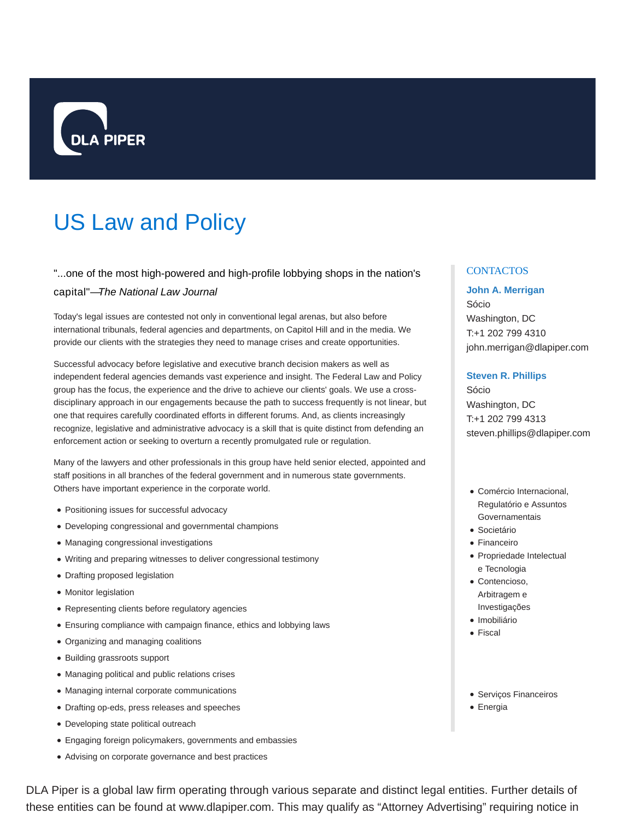

# US Law and Policy

# "...one of the most high-powered and high-profile lobbying shops in the nation's

#### capital"—The National Law Journal

Today's legal issues are contested not only in conventional legal arenas, but also before international tribunals, federal agencies and departments, on Capitol Hill and in the media. We provide our clients with the strategies they need to manage crises and create opportunities.

Successful advocacy before legislative and executive branch decision makers as well as independent federal agencies demands vast experience and insight. The Federal Law and Policy group has the focus, the experience and the drive to achieve our clients' goals. We use a crossdisciplinary approach in our engagements because the path to success frequently is not linear, but one that requires carefully coordinated efforts in different forums. And, as clients increasingly recognize, legislative and administrative advocacy is a skill that is quite distinct from defending an enforcement action or seeking to overturn a recently promulgated rule or regulation.

Many of the lawyers and other professionals in this group have held senior elected, appointed and staff positions in all branches of the federal government and in numerous state governments. Others have important experience in the corporate world.

- Positioning issues for successful advocacy
- Developing congressional and governmental champions
- Managing congressional investigations
- Writing and preparing witnesses to deliver congressional testimony
- Drafting proposed legislation
- Monitor legislation
- Representing clients before regulatory agencies
- Ensuring compliance with campaign finance, ethics and lobbying laws
- Organizing and managing coalitions
- Building grassroots support
- Managing political and public relations crises
- Managing internal corporate communications
- Drafting op-eds, press releases and speeches
- Developing state political outreach
- Engaging foreign policymakers, governments and embassies
- Advising on corporate governance and best practices

# DLA Piper is a global law firm operating through various separate and distinct legal entities. Further details of these entities can be found at www.dlapiper.com. This may qualify as "Attorney Advertising" requiring notice in

#### **CONTACTOS**

#### **John A. Merrigan**

Sócio Washington, DC T:+1 202 799 4310 john.merrigan@dlapiper.com

#### **Steven R. Phillips**

Sócio Washington, DC T:+1 202 799 4313 steven.phillips@dlapiper.com

- Comércio Internacional, Regulatório e Assuntos Governamentais
- **·** Societário
- Financeiro
- Propriedade Intelectual e Tecnologia
- Contencioso, Arbitragem e Investigações
- · Imobiliário
- Fiscal
- Serviços Financeiros
- Energia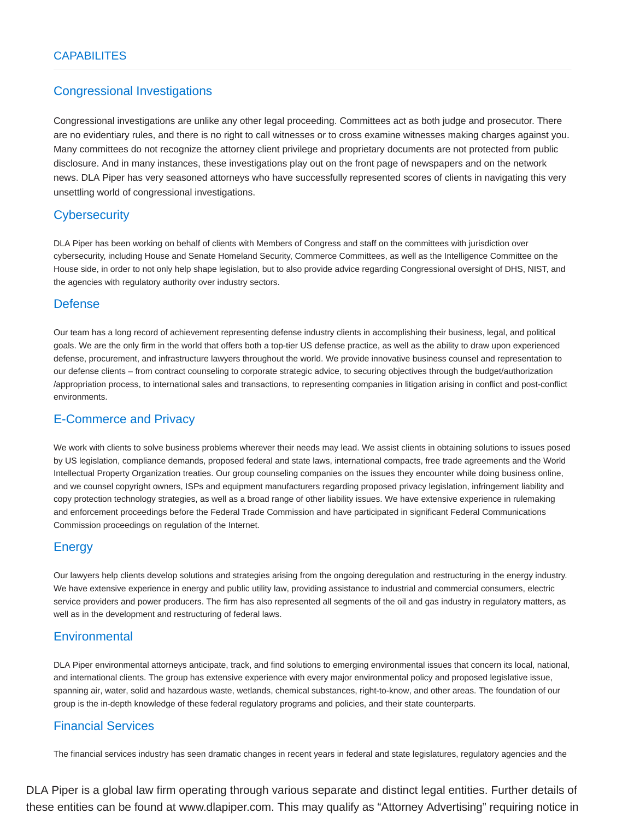# Congressional Investigations

Congressional investigations are unlike any other legal proceeding. Committees act as both judge and prosecutor. There are no evidentiary rules, and there is no right to call witnesses or to cross examine witnesses making charges against you. Many committees do not recognize the attorney client privilege and proprietary documents are not protected from public disclosure. And in many instances, these investigations play out on the front page of newspapers and on the network news. DLA Piper has very seasoned attorneys who have successfully represented scores of clients in navigating this very unsettling world of congressional investigations.

# **Cybersecurity**

DLA Piper has been working on behalf of clients with Members of Congress and staff on the committees with jurisdiction over cybersecurity, including House and Senate Homeland Security, Commerce Committees, as well as the Intelligence Committee on the House side, in order to not only help shape legislation, but to also provide advice regarding Congressional oversight of DHS, NIST, and the agencies with regulatory authority over industry sectors.

# **Defense**

Our team has a long record of achievement representing defense industry clients in accomplishing their business, legal, and political goals. We are the only firm in the world that offers both a top-tier US defense practice, as well as the ability to draw upon experienced defense, procurement, and infrastructure lawyers throughout the world. We provide innovative business counsel and representation to our defense clients – from contract counseling to corporate strategic advice, to securing objectives through the budget/authorization /appropriation process, to international sales and transactions, to representing companies in litigation arising in conflict and post-conflict environments.

# E-Commerce and Privacy

We work with clients to solve business problems wherever their needs may lead. We assist clients in obtaining solutions to issues posed by US legislation, compliance demands, proposed federal and state laws, international compacts, free trade agreements and the World Intellectual Property Organization treaties. Our group counseling companies on the issues they encounter while doing business online, and we counsel copyright owners, ISPs and equipment manufacturers regarding proposed privacy legislation, infringement liability and copy protection technology strategies, as well as a broad range of other liability issues. We have extensive experience in rulemaking and enforcement proceedings before the Federal Trade Commission and have participated in significant Federal Communications Commission proceedings on regulation of the Internet.

# **Energy**

Our lawyers help clients develop solutions and strategies arising from the ongoing deregulation and restructuring in the energy industry. We have extensive experience in energy and public utility law, providing assistance to industrial and commercial consumers, electric service providers and power producers. The firm has also represented all segments of the oil and gas industry in regulatory matters, as well as in the development and restructuring of federal laws.

# **Environmental**

DLA Piper environmental attorneys anticipate, track, and find solutions to emerging environmental issues that concern its local, national, and international clients. The group has extensive experience with every major environmental policy and proposed legislative issue, spanning air, water, solid and hazardous waste, wetlands, chemical substances, right-to-know, and other areas. The foundation of our group is the in-depth knowledge of these federal regulatory programs and policies, and their state counterparts.

# Financial Services

The financial services industry has seen dramatic changes in recent years in federal and state legislatures, regulatory agencies and the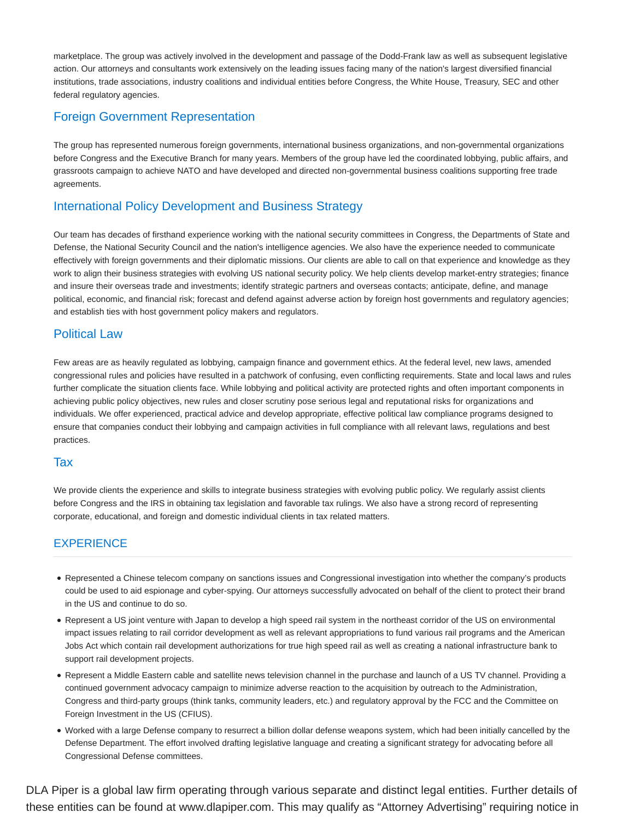marketplace. The group was actively involved in the development and passage of the Dodd-Frank law as well as subsequent legislative action. Our attorneys and consultants work extensively on the leading issues facing many of the nation's largest diversified financial institutions, trade associations, industry coalitions and individual entities before Congress, the White House, Treasury, SEC and other federal regulatory agencies.

# Foreign Government Representation

The group has represented numerous foreign governments, international business organizations, and non-governmental organizations before Congress and the Executive Branch for many years. Members of the group have led the coordinated lobbying, public affairs, and grassroots campaign to achieve NATO and have developed and directed non-governmental business coalitions supporting free trade agreements.

# International Policy Development and Business Strategy

Our team has decades of firsthand experience working with the national security committees in Congress, the Departments of State and Defense, the National Security Council and the nation's intelligence agencies. We also have the experience needed to communicate effectively with foreign governments and their diplomatic missions. Our clients are able to call on that experience and knowledge as they work to align their business strategies with evolving US national security policy. We help clients develop market-entry strategies; finance and insure their overseas trade and investments; identify strategic partners and overseas contacts; anticipate, define, and manage political, economic, and financial risk; forecast and defend against adverse action by foreign host governments and regulatory agencies; and establish ties with host government policy makers and regulators.

# Political Law

Few areas are as heavily regulated as lobbying, campaign finance and government ethics. At the federal level, new laws, amended congressional rules and policies have resulted in a patchwork of confusing, even conflicting requirements. State and local laws and rules further complicate the situation clients face. While lobbying and political activity are protected rights and often important components in achieving public policy objectives, new rules and closer scrutiny pose serious legal and reputational risks for organizations and individuals. We offer experienced, practical advice and develop appropriate, effective political law compliance programs designed to ensure that companies conduct their lobbying and campaign activities in full compliance with all relevant laws, regulations and best practices.

## Tax

We provide clients the experience and skills to integrate business strategies with evolving public policy. We regularly assist clients before Congress and the IRS in obtaining tax legislation and favorable tax rulings. We also have a strong record of representing corporate, educational, and foreign and domestic individual clients in tax related matters.

# **EXPERIENCE**

- Represented a Chinese telecom company on sanctions issues and Congressional investigation into whether the company's products could be used to aid espionage and cyber-spying. Our attorneys successfully advocated on behalf of the client to protect their brand in the US and continue to do so.
- Represent a US joint venture with Japan to develop a high speed rail system in the northeast corridor of the US on environmental impact issues relating to rail corridor development as well as relevant appropriations to fund various rail programs and the American Jobs Act which contain rail development authorizations for true high speed rail as well as creating a national infrastructure bank to support rail development projects.
- Represent a Middle Eastern cable and satellite news television channel in the purchase and launch of a US TV channel. Providing a continued government advocacy campaign to minimize adverse reaction to the acquisition by outreach to the Administration, Congress and third-party groups (think tanks, community leaders, etc.) and regulatory approval by the FCC and the Committee on Foreign Investment in the US (CFIUS).
- Worked with a large Defense company to resurrect a billion dollar defense weapons system, which had been initially cancelled by the Defense Department. The effort involved drafting legislative language and creating a significant strategy for advocating before all Congressional Defense committees.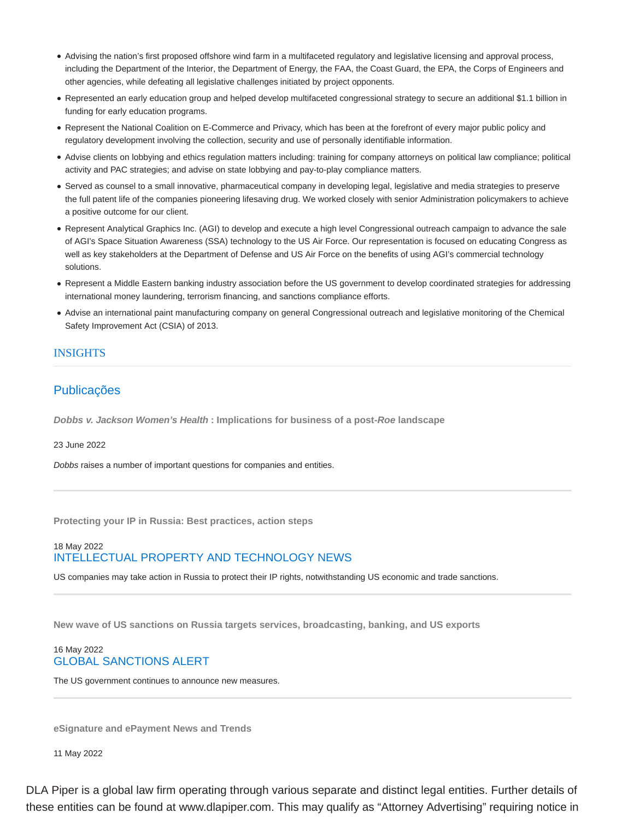- Advising the nation's first proposed offshore wind farm in a multifaceted regulatory and legislative licensing and approval process, including the Department of the Interior, the Department of Energy, the FAA, the Coast Guard, the EPA, the Corps of Engineers and other agencies, while defeating all legislative challenges initiated by project opponents.
- Represented an early education group and helped develop multifaceted congressional strategy to secure an additional \$1.1 billion in funding for early education programs.
- Represent the National Coalition on E-Commerce and Privacy, which has been at the forefront of every major public policy and regulatory development involving the collection, security and use of personally identifiable information.
- Advise clients on lobbying and ethics regulation matters including: training for company attorneys on political law compliance; political activity and PAC strategies; and advise on state lobbying and pay-to-play compliance matters.
- Served as counsel to a small innovative, pharmaceutical company in developing legal, legislative and media strategies to preserve the full patent life of the companies pioneering lifesaving drug. We worked closely with senior Administration policymakers to achieve a positive outcome for our client.
- Represent Analytical Graphics Inc. (AGI) to develop and execute a high level Congressional outreach campaign to advance the sale of AGI's Space Situation Awareness (SSA) technology to the US Air Force. Our representation is focused on educating Congress as well as key stakeholders at the Department of Defense and US Air Force on the benefits of using AGI's commercial technology solutions.
- Represent a Middle Eastern banking industry association before the US government to develop coordinated strategies for addressing international money laundering, terrorism financing, and sanctions compliance efforts.
- Advise an international paint manufacturing company on general Congressional outreach and legislative monitoring of the Chemical Safety Improvement Act (CSIA) of 2013.

#### **INSIGHTS**

## Publicações

**Dobbs v. Jackson Women's Health : Implications for business of a post-Roe landscape**

#### 23 June 2022

Dobbs raises a number of important questions for companies and entities.

**Protecting your IP in Russia: Best practices, action steps**

## 18 May 2022 INTELLECTUAL PROPERTY AND TECHNOLOGY NEWS

US companies may take action in Russia to protect their IP rights, notwithstanding US economic and trade sanctions.

**New wave of US sanctions on Russia targets services, broadcasting, banking, and US exports**

#### 16 May 2022 GLOBAL SANCTIONS ALERT

The US government continues to announce new measures.

**eSignature and ePayment News and Trends**

11 May 2022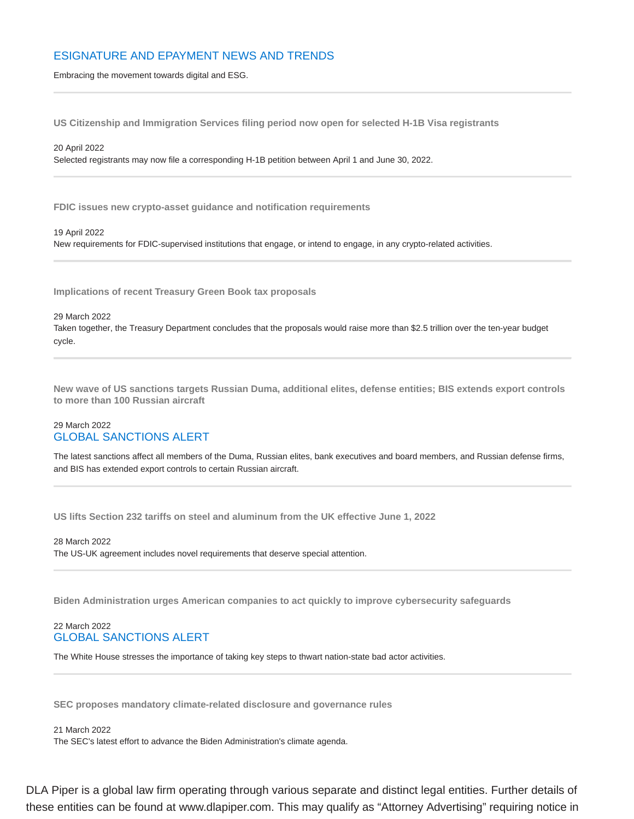## ESIGNATURE AND EPAYMENT NEWS AND TRENDS

Embracing the movement towards digital and ESG.

**US Citizenship and Immigration Services filing period now open for selected H-1B Visa registrants**

20 April 2022 Selected registrants may now file a corresponding H-1B petition between April 1 and June 30, 2022.

**FDIC issues new crypto-asset guidance and notification requirements**

19 April 2022 New requirements for FDIC-supervised institutions that engage, or intend to engage, in any crypto-related activities.

**Implications of recent Treasury Green Book tax proposals**

#### 29 March 2022

Taken together, the Treasury Department concludes that the proposals would raise more than \$2.5 trillion over the ten-year budget cycle.

**New wave of US sanctions targets Russian Duma, additional elites, defense entities; BIS extends export controls to more than 100 Russian aircraft**

#### 29 March 2022 GLOBAL SANCTIONS ALERT

The latest sanctions affect all members of the Duma, Russian elites, bank executives and board members, and Russian defense firms, and BIS has extended export controls to certain Russian aircraft.

**US lifts Section 232 tariffs on steel and aluminum from the UK effective June 1, 2022**

28 March 2022 The US-UK agreement includes novel requirements that deserve special attention.

**Biden Administration urges American companies to act quickly to improve cybersecurity safeguards**

#### 22 March 2022 GLOBAL SANCTIONS ALERT

The White House stresses the importance of taking key steps to thwart nation-state bad actor activities.

**SEC proposes mandatory climate-related disclosure and governance rules**

21 March 2022 The SEC's latest effort to advance the Biden Administration's climate agenda.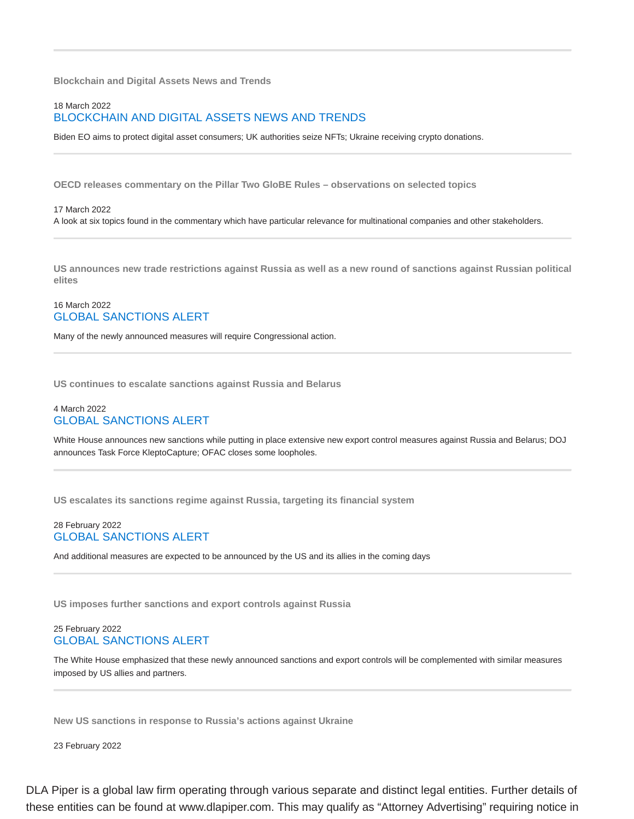**Blockchain and Digital Assets News and Trends**

## 18 March 2022 BLOCKCHAIN AND DIGITAL ASSETS NEWS AND TRENDS

Biden EO aims to protect digital asset consumers; UK authorities seize NFTs; Ukraine receiving crypto donations.

**OECD releases commentary on the Pillar Two GloBE Rules – observations on selected topics**

#### 17 March 2022 A look at six topics found in the commentary which have particular relevance for multinational companies and other stakeholders.

**US announces new trade restrictions against Russia as well as a new round of sanctions against Russian political elites**

## 16 March 2022 GLOBAL SANCTIONS ALERT

Many of the newly announced measures will require Congressional action.

**US continues to escalate sanctions against Russia and Belarus**

#### 4 March 2022 GLOBAL SANCTIONS ALERT

White House announces new sanctions while putting in place extensive new export control measures against Russia and Belarus; DOJ announces Task Force KleptoCapture; OFAC closes some loopholes.

**US escalates its sanctions regime against Russia, targeting its financial system**

#### 28 February 2022 GLOBAL SANCTIONS ALERT

And additional measures are expected to be announced by the US and its allies in the coming days

**US imposes further sanctions and export controls against Russia**

#### 25 February 2022 GLOBAL SANCTIONS ALERT

The White House emphasized that these newly announced sanctions and export controls will be complemented with similar measures imposed by US allies and partners.

**New US sanctions in response to Russia's actions against Ukraine**

23 February 2022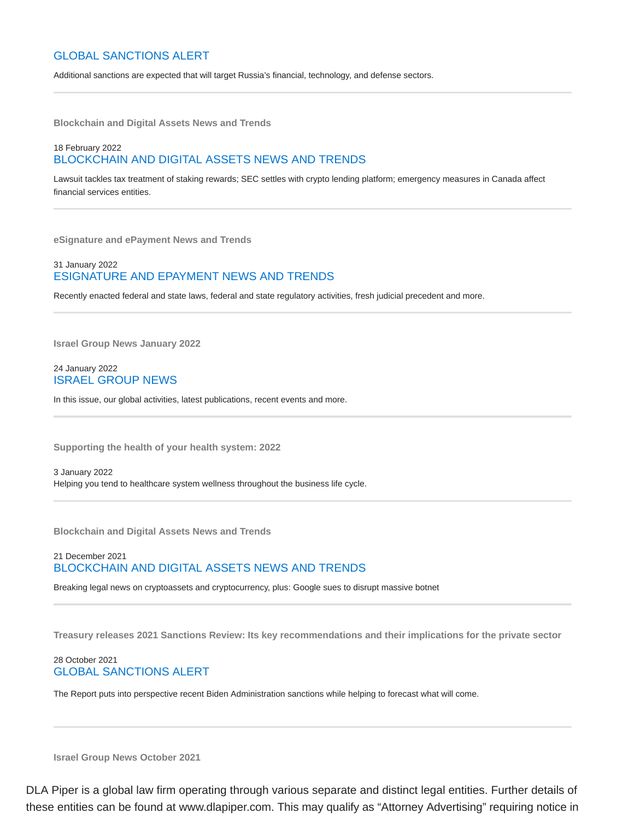## GLOBAL SANCTIONS ALERT

Additional sanctions are expected that will target Russia's financial, technology, and defense sectors.

**Blockchain and Digital Assets News and Trends**

## 18 February 2022 BLOCKCHAIN AND DIGITAL ASSETS NEWS AND TRENDS

Lawsuit tackles tax treatment of staking rewards; SEC settles with crypto lending platform; emergency measures in Canada affect financial services entities.

**eSignature and ePayment News and Trends**

#### 31 January 2022 ESIGNATURE AND EPAYMENT NEWS AND TRENDS

Recently enacted federal and state laws, federal and state regulatory activities, fresh judicial precedent and more.

**Israel Group News January 2022**

24 January 2022 ISRAEL GROUP NEWS

In this issue, our global activities, latest publications, recent events and more.

**Supporting the health of your health system: 2022**

3 January 2022 Helping you tend to healthcare system wellness throughout the business life cycle.

**Blockchain and Digital Assets News and Trends**

21 December 2021 BLOCKCHAIN AND DIGITAL ASSETS NEWS AND TRENDS

Breaking legal news on cryptoassets and cryptocurrency, plus: Google sues to disrupt massive botnet

**Treasury releases 2021 Sanctions Review: Its key recommendations and their implications for the private sector**

#### 28 October 2021 GLOBAL SANCTIONS ALERT

The Report puts into perspective recent Biden Administration sanctions while helping to forecast what will come.

**Israel Group News October 2021**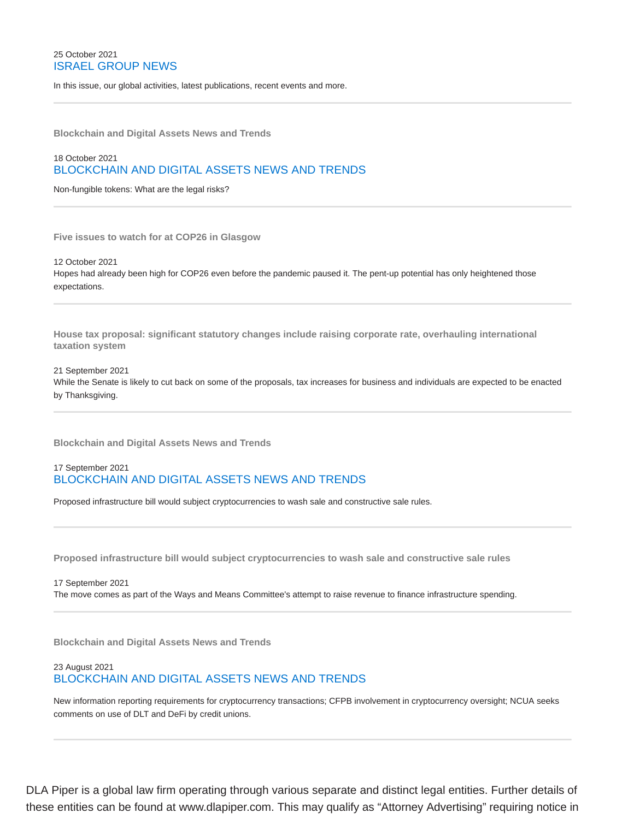#### 25 October 2021 ISRAEL GROUP NEWS

In this issue, our global activities, latest publications, recent events and more.

**Blockchain and Digital Assets News and Trends**

## 18 October 2021 BLOCKCHAIN AND DIGITAL ASSETS NEWS AND TRENDS

Non-fungible tokens: What are the legal risks?

**Five issues to watch for at COP26 in Glasgow**

12 October 2021 Hopes had already been high for COP26 even before the pandemic paused it. The pent-up potential has only heightened those expectations.

**House tax proposal: significant statutory changes include raising corporate rate, overhauling international taxation system**

## 21 September 2021 While the Senate is likely to cut back on some of the proposals, tax increases for business and individuals are expected to be enacted by Thanksgiving.

**Blockchain and Digital Assets News and Trends**

## 17 September 2021 BLOCKCHAIN AND DIGITAL ASSETS NEWS AND TRENDS

Proposed infrastructure bill would subject cryptocurrencies to wash sale and constructive sale rules.

**Proposed infrastructure bill would subject cryptocurrencies to wash sale and constructive sale rules**

#### 17 September 2021 The move comes as part of the Ways and Means Committee's attempt to raise revenue to finance infrastructure spending.

**Blockchain and Digital Assets News and Trends**

#### 23 August 2021 BLOCKCHAIN AND DIGITAL ASSETS NEWS AND TRENDS

New information reporting requirements for cryptocurrency transactions; CFPB involvement in cryptocurrency oversight; NCUA seeks comments on use of DLT and DeFi by credit unions.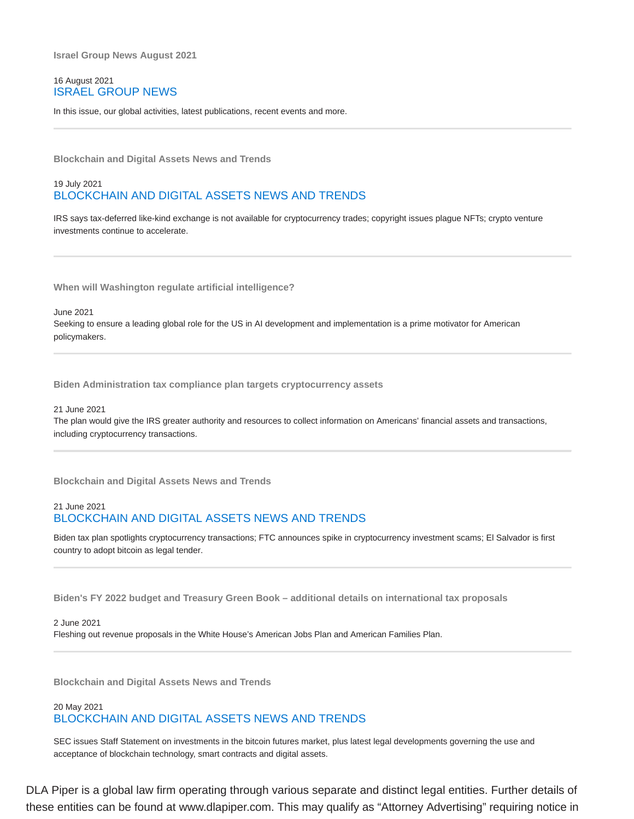**Israel Group News August 2021**

#### 16 August 2021 ISRAEL GROUP NEWS

In this issue, our global activities, latest publications, recent events and more.

**Blockchain and Digital Assets News and Trends**

## 19 July 2021 BLOCKCHAIN AND DIGITAL ASSETS NEWS AND TRENDS

IRS says tax-deferred like-kind exchange is not available for cryptocurrency trades; copyright issues plague NFTs; crypto venture investments continue to accelerate.

**When will Washington regulate artificial intelligence?**

June 2021

Seeking to ensure a leading global role for the US in AI development and implementation is a prime motivator for American policymakers.

**Biden Administration tax compliance plan targets cryptocurrency assets**

21 June 2021

The plan would give the IRS greater authority and resources to collect information on Americans' financial assets and transactions, including cryptocurrency transactions.

**Blockchain and Digital Assets News and Trends**

#### 21 June 2021 BLOCKCHAIN AND DIGITAL ASSETS NEWS AND TRENDS

Biden tax plan spotlights cryptocurrency transactions; FTC announces spike in cryptocurrency investment scams; El Salvador is first country to adopt bitcoin as legal tender.

**Biden's FY 2022 budget and Treasury Green Book – additional details on international tax proposals**

#### 2 June 2021

Fleshing out revenue proposals in the White House's American Jobs Plan and American Families Plan.

**Blockchain and Digital Assets News and Trends**

#### 20 May 2021 BLOCKCHAIN AND DIGITAL ASSETS NEWS AND TRENDS

SEC issues Staff Statement on investments in the bitcoin futures market, plus latest legal developments governing the use and acceptance of blockchain technology, smart contracts and digital assets.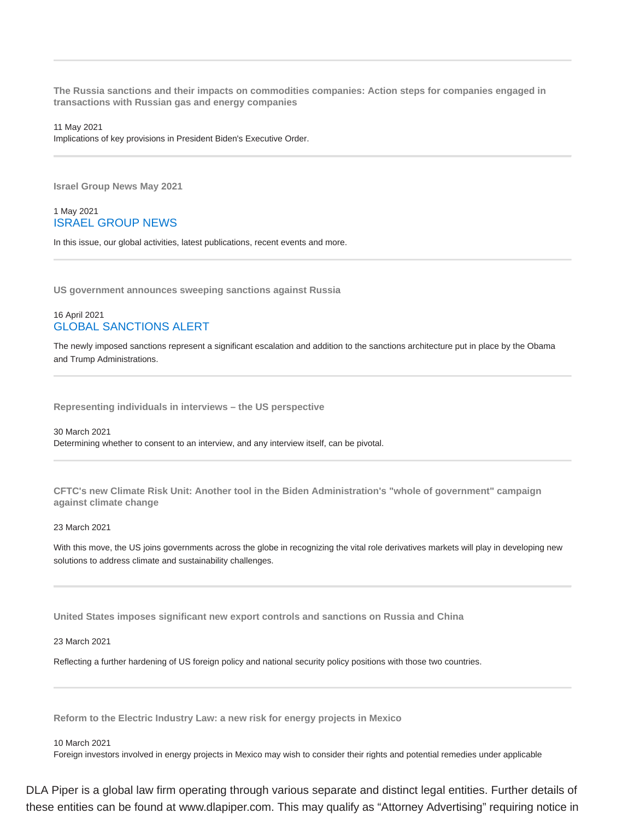**The Russia sanctions and their impacts on commodities companies: Action steps for companies engaged in transactions with Russian gas and energy companies**

#### 11 May 2021

Implications of key provisions in President Biden's Executive Order.

**Israel Group News May 2021**

#### 1 May 2021 ISRAEL GROUP NEWS

In this issue, our global activities, latest publications, recent events and more.

**US government announces sweeping sanctions against Russia**

#### 16 April 2021 GLOBAL SANCTIONS ALERT

The newly imposed sanctions represent a significant escalation and addition to the sanctions architecture put in place by the Obama and Trump Administrations.

**Representing individuals in interviews – the US perspective**

30 March 2021 Determining whether to consent to an interview, and any interview itself, can be pivotal.

**CFTC's new Climate Risk Unit: Another tool in the Biden Administration's "whole of government" campaign against climate change**

#### 23 March 2021

With this move, the US joins governments across the globe in recognizing the vital role derivatives markets will play in developing new solutions to address climate and sustainability challenges.

**United States imposes significant new export controls and sanctions on Russia and China**

23 March 2021

Reflecting a further hardening of US foreign policy and national security policy positions with those two countries.

**Reform to the Electric Industry Law: a new risk for energy projects in Mexico**

#### 10 March 2021

Foreign investors involved in energy projects in Mexico may wish to consider their rights and potential remedies under applicable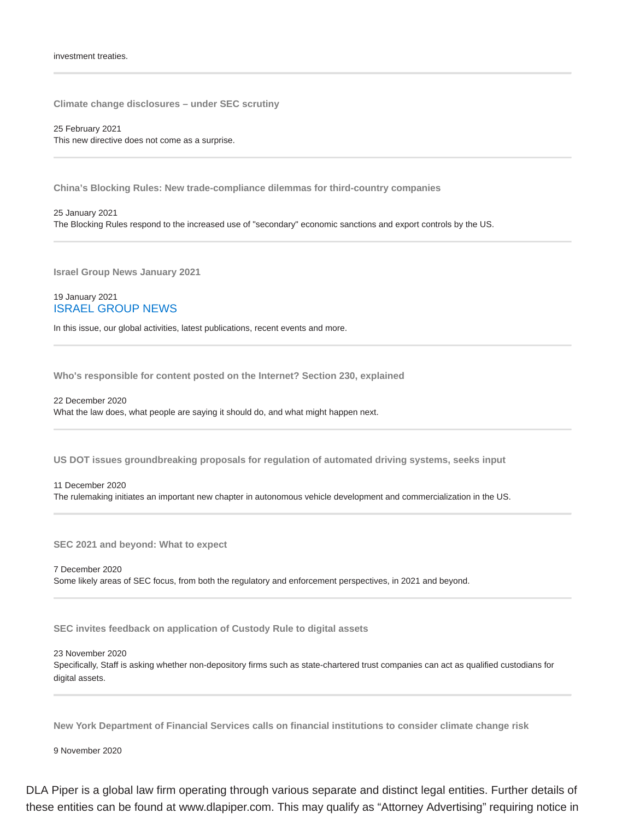#### investment treaties.

**Climate change disclosures – under SEC scrutiny**

25 February 2021 This new directive does not come as a surprise.

**China's Blocking Rules: New trade-compliance dilemmas for third-country companies**

25 January 2021 The Blocking Rules respond to the increased use of "secondary" economic sanctions and export controls by the US.

**Israel Group News January 2021**

#### 19 January 2021 ISRAEL GROUP NEWS

In this issue, our global activities, latest publications, recent events and more.

**Who's responsible for content posted on the Internet? Section 230, explained**

22 December 2020 What the law does, what people are saying it should do, and what might happen next.

**US DOT issues groundbreaking proposals for regulation of automated driving systems, seeks input**

11 December 2020 The rulemaking initiates an important new chapter in autonomous vehicle development and commercialization in the US.

**SEC 2021 and beyond: What to expect**

7 December 2020 Some likely areas of SEC focus, from both the regulatory and enforcement perspectives, in 2021 and beyond.

**SEC invites feedback on application of Custody Rule to digital assets**

23 November 2020

Specifically, Staff is asking whether non-depository firms such as state-chartered trust companies can act as qualified custodians for digital assets.

**New York Department of Financial Services calls on financial institutions to consider climate change risk**

9 November 2020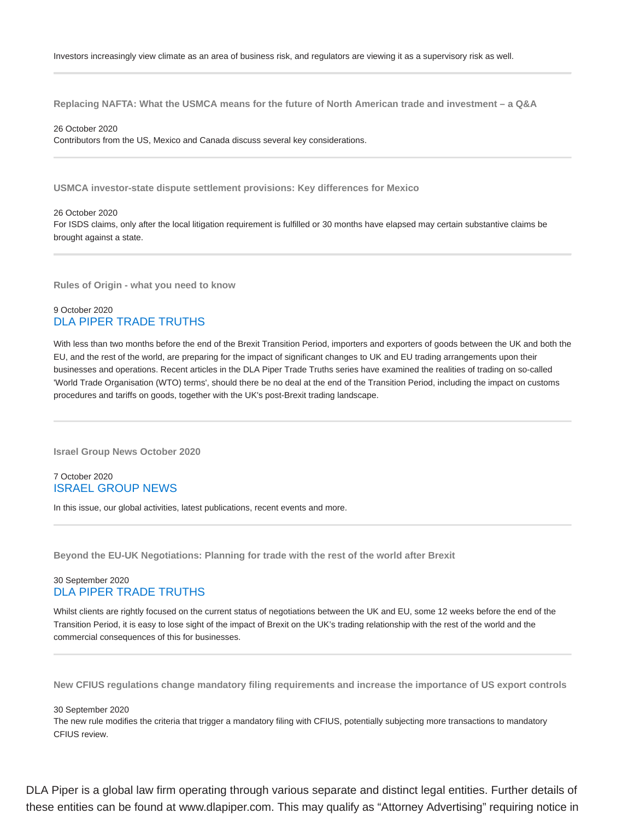**Replacing NAFTA: What the USMCA means for the future of North American trade and investment – a Q&A**

26 October 2020

Contributors from the US, Mexico and Canada discuss several key considerations.

**USMCA investor-state dispute settlement provisions: Key differences for Mexico**

26 October 2020 For ISDS claims, only after the local litigation requirement is fulfilled or 30 months have elapsed may certain substantive claims be brought against a state.

**Rules of Origin - what you need to know**

#### 9 October 2020 DLA PIPER TRADE TRUTHS

With less than two months before the end of the Brexit Transition Period, importers and exporters of goods between the UK and both the EU, and the rest of the world, are preparing for the impact of significant changes to UK and EU trading arrangements upon their businesses and operations. Recent articles in the DLA Piper Trade Truths series have examined the realities of trading on so-called 'World Trade Organisation (WTO) terms', should there be no deal at the end of the Transition Period, including the impact on customs procedures and tariffs on goods, together with the UK's post-Brexit trading landscape.

**Israel Group News October 2020**

#### 7 October 2020 ISRAEL GROUP NEWS

In this issue, our global activities, latest publications, recent events and more.

**Beyond the EU-UK Negotiations: Planning for trade with the rest of the world after Brexit**

#### 30 September 2020 DLA PIPER TRADE TRUTHS

Whilst clients are rightly focused on the current status of negotiations between the UK and EU, some 12 weeks before the end of the Transition Period, it is easy to lose sight of the impact of Brexit on the UK's trading relationship with the rest of the world and the commercial consequences of this for businesses.

**New CFIUS regulations change mandatory filing requirements and increase the importance of US export controls**

#### 30 September 2020

The new rule modifies the criteria that trigger a mandatory filing with CFIUS, potentially subjecting more transactions to mandatory CFIUS review.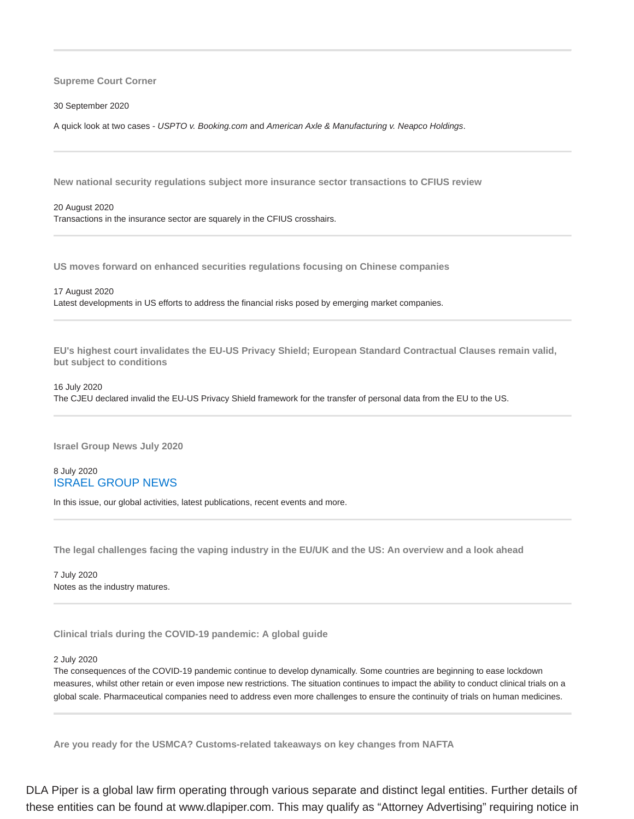**Supreme Court Corner**

30 September 2020

A quick look at two cases - USPTO v. Booking.com and American Axle & Manufacturing v. Neapco Holdings.

**New national security regulations subject more insurance sector transactions to CFIUS review**

20 August 2020 Transactions in the insurance sector are squarely in the CFIUS crosshairs.

**US moves forward on enhanced securities regulations focusing on Chinese companies**

17 August 2020

Latest developments in US efforts to address the financial risks posed by emerging market companies.

**EU's highest court invalidates the EU-US Privacy Shield; European Standard Contractual Clauses remain valid, but subject to conditions**

16 July 2020 The CJEU declared invalid the EU-US Privacy Shield framework for the transfer of personal data from the EU to the US.

**Israel Group News July 2020**

8 July 2020 ISRAEL GROUP NEWS

In this issue, our global activities, latest publications, recent events and more.

**The legal challenges facing the vaping industry in the EU/UK and the US: An overview and a look ahead**

7 July 2020 Notes as the industry matures.

**Clinical trials during the COVID-19 pandemic: A global guide**

#### 2 July 2020

The consequences of the COVID-19 pandemic continue to develop dynamically. Some countries are beginning to ease lockdown measures, whilst other retain or even impose new restrictions. The situation continues to impact the ability to conduct clinical trials on a global scale. Pharmaceutical companies need to address even more challenges to ensure the continuity of trials on human medicines.

**Are you ready for the USMCA? Customs-related takeaways on key changes from NAFTA**